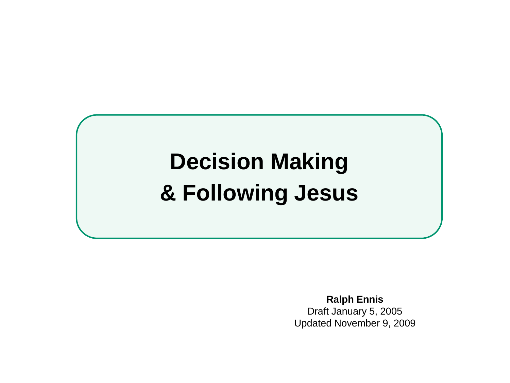# **Decision Making & Following Jesus**

**Ralph Ennis** Draft January 5, 2005 Updated November 9, 2009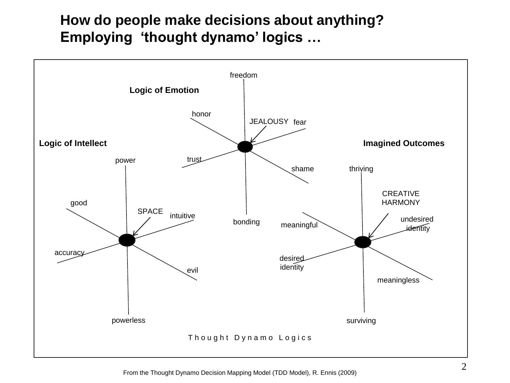# **How do people make decisions about anything? Employing 'thought dynamo' logics …**

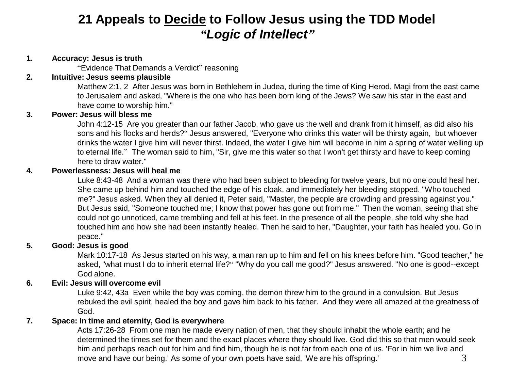# **21 Appeals to Decide to Follow Jesus using the TDD Model** *"Logic of Intellect"*

### **1. Accuracy: Jesus is truth**

"Evidence That Demands a Verdict" reasoning

### **2. Intuitive: Jesus seems plausible**

Matthew 2:1, 2 After Jesus was born in Bethlehem in Judea, during the time of King Herod, Magi from the east came to Jerusalem and asked, "Where is the one who has been born king of the Jews? We saw his star in the east and have come to worship him."

## **3. Power: Jesus will bless me**

John 4:12-15 Are you greater than our father Jacob, who gave us the well and drank from it himself, as did also his sons and his flocks and herds?" Jesus answered, "Everyone who drinks this water will be thirsty again, but whoever drinks the water I give him will never thirst. Indeed, the water I give him will become in him a spring of water welling up to eternal life." The woman said to him, "Sir, give me this water so that I won't get thirsty and have to keep coming here to draw water."

### **4. Powerlessness: Jesus will heal me**

Luke 8:43-48 And a woman was there who had been subject to bleeding for twelve years, but no one could heal her. She came up behind him and touched the edge of his cloak, and immediately her bleeding stopped. "Who touched me?" Jesus asked. When they all denied it, Peter said, "Master, the people are crowding and pressing against you." But Jesus said, "Someone touched me; I know that power has gone out from me." Then the woman, seeing that she could not go unnoticed, came trembling and fell at his feet. In the presence of all the people, she told why she had touched him and how she had been instantly healed. Then he said to her, "Daughter, your faith has healed you. Go in peace."

# **5. Good: Jesus is good**

Mark 10:17-18 As Jesus started on his way, a man ran up to him and fell on his knees before him. "Good teacher," he asked, "what must I do to inherit eternal life?" "Why do you call me good?" Jesus answered. "No one is good--except God alone.

# **6. Evil: Jesus will overcome evil**

Luke 9:42, 43a Even while the boy was coming, the demon threw him to the ground in a convulsion. But Jesus rebuked the evil spirit, healed the boy and gave him back to his father. And they were all amazed at the greatness of God.

## **7. Space: In time and eternity, God is everywhere**

3 Acts 17:26-28 From one man he made every nation of men, that they should inhabit the whole earth; and he determined the times set for them and the exact places where they should live. God did this so that men would seek him and perhaps reach out for him and find him, though he is not far from each one of us. 'For in him we live and move and have our being.' As some of your own poets have said, 'We are his offspring.'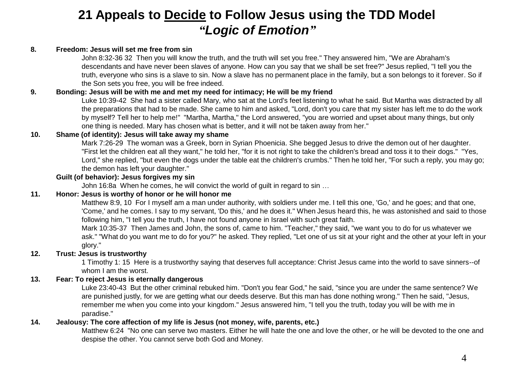# **21 Appeals to Decide to Follow Jesus using the TDD Model** *"Logic of Emotion"*

#### **8. Freedom: Jesus will set me free from sin**

John 8:32-36 32 Then you will know the truth, and the truth will set you free." They answered him, "We are Abraham's descendants and have never been slaves of anyone. How can you say that we shall be set free?" Jesus replied, "I tell you the truth, everyone who sins is a slave to sin. Now a slave has no permanent place in the family, but a son belongs to it forever. So if the Son sets you free, you will be free indeed.

#### **9. Bonding: Jesus will be with me and met my need for intimacy; He will be my friend**

Luke 10:39-42 She had a sister called Mary, who sat at the Lord's feet listening to what he said. But Martha was distracted by all the preparations that had to be made. She came to him and asked, "Lord, don't you care that my sister has left me to do the work by myself? Tell her to help me!" "Martha, Martha," the Lord answered, "you are worried and upset about many things, but only one thing is needed. Mary has chosen what is better, and it will not be taken away from her."

#### **10. Shame (of identity): Jesus will take away my shame**

Mark 7:26-29 The woman was a Greek, born in Syrian Phoenicia. She begged Jesus to drive the demon out of her daughter. "First let the children eat all they want," he told her, "for it is not right to take the children's bread and toss it to their dogs." "Yes, Lord," she replied, "but even the dogs under the table eat the children's crumbs." Then he told her, "For such a reply, you may go; the demon has left your daughter."

#### **Guilt (of behavior): Jesus forgives my sin**

John 16:8a When he comes, he will convict the world of guilt in regard to sin …

#### **11. Honor: Jesus is worthy of honor or he will honor me**

Matthew 8:9, 10 For I myself am a man under authority, with soldiers under me. I tell this one, 'Go,' and he goes; and that one, 'Come,' and he comes. I say to my servant, 'Do this,' and he does it." When Jesus heard this, he was astonished and said to those following him, "I tell you the truth, I have not found anyone in Israel with such great faith.

Mark 10:35-37 Then James and John, the sons of, came to him. "Teacher," they said, "we want you to do for us whatever we ask." "What do you want me to do for you?" he asked. They replied, "Let one of us sit at your right and the other at your left in your glory."

#### **12. Trust: Jesus is trustworthy**

1 Timothy 1: 15 Here is a trustworthy saying that deserves full acceptance: Christ Jesus came into the world to save sinners--of whom I am the worst.

#### **13. Fear: To reject Jesus is eternally dangerous**

Luke 23:40-43 But the other criminal rebuked him. "Don't you fear God," he said, "since you are under the same sentence? We are punished justly, for we are getting what our deeds deserve. But this man has done nothing wrong." Then he said, "Jesus, remember me when you come into your kingdom." Jesus answered him, "I tell you the truth, today you will be with me in paradise."

#### **14. Jealousy: The core affection of my life is Jesus (not money, wife, parents, etc.)**

Matthew 6:24 "No one can serve two masters. Either he will hate the one and love the other, or he will be devoted to the one and despise the other. You cannot serve both God and Money.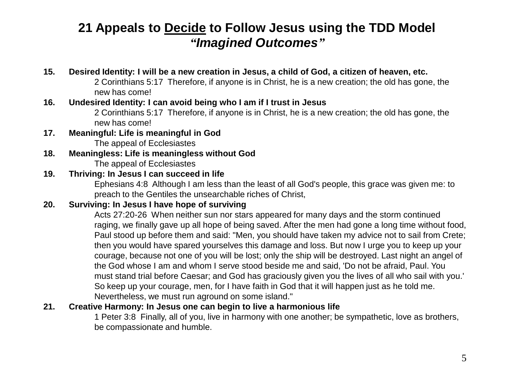# **21 Appeals to Decide to Follow Jesus using the TDD Model** *"Imagined Outcomes"*

# **15. Desired Identity: I will be a new creation in Jesus, a child of God, a citizen of heaven, etc.**

2 Corinthians 5:17 Therefore, if anyone is in Christ, he is a new creation; the old has gone, the new has come!

# **16. Undesired Identity: I can avoid being who I am if I trust in Jesus**

2 Corinthians 5:17 Therefore, if anyone is in Christ, he is a new creation; the old has gone, the new has come!

### **17. Meaningful: Life is meaningful in God** The appeal of Ecclesiastes

**18. Meaningless: Life is meaningless without God** The appeal of Ecclesiastes

# **19. Thriving: In Jesus I can succeed in life**

Ephesians 4:8 Although I am less than the least of all God's people, this grace was given me: to preach to the Gentiles the unsearchable riches of Christ,

# **20. Surviving: In Jesus I have hope of surviving**

Acts 27:20-26 When neither sun nor stars appeared for many days and the storm continued raging, we finally gave up all hope of being saved. After the men had gone a long time without food, Paul stood up before them and said: "Men, you should have taken my advice not to sail from Crete; then you would have spared yourselves this damage and loss. But now I urge you to keep up your courage, because not one of you will be lost; only the ship will be destroyed. Last night an angel of the God whose I am and whom I serve stood beside me and said, 'Do not be afraid, Paul. You must stand trial before Caesar; and God has graciously given you the lives of all who sail with you.' So keep up your courage, men, for I have faith in God that it will happen just as he told me. Nevertheless, we must run aground on some island."

# **21. Creative Harmony: In Jesus one can begin to live a harmonious life**

1 Peter 3:8 Finally, all of you, live in harmony with one another; be sympathetic, love as brothers, be compassionate and humble.